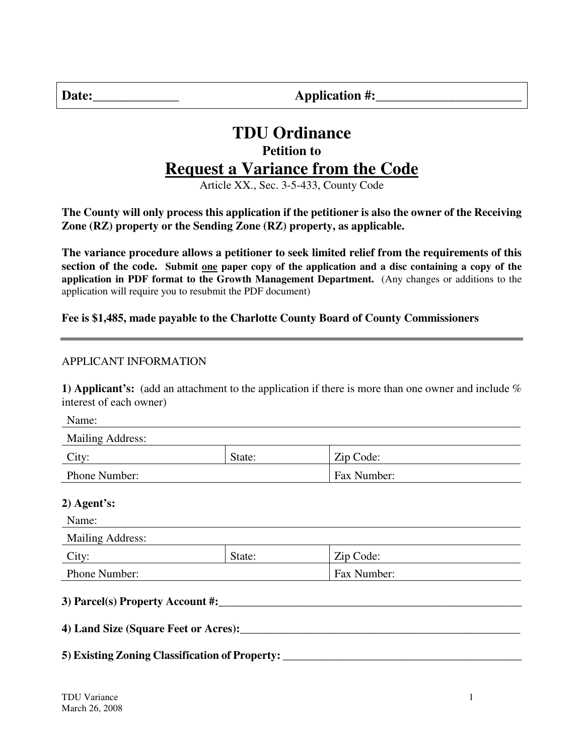| Date<br>٠ |  |
|-----------|--|
|           |  |

**Date:\_\_\_\_\_\_\_\_\_\_\_\_\_ Application #:\_\_\_\_\_\_\_\_\_\_\_\_\_\_\_\_\_\_\_\_\_\_** 

# **TDU Ordinance Petition to Request a Variance from the Code**

Article XX., Sec. 3-5-433, County Code

**The County will only process this application if the petitioner is also the owner of the Receiving Zone (RZ) property or the Sending Zone (RZ) property, as applicable.** 

**The variance procedure allows a petitioner to seek limited relief from the requirements of this section of the code. Submit one paper copy of the application and a disc containing a copy of the application in PDF format to the Growth Management Department.** (Any changes or additions to the application will require you to resubmit the PDF document)

#### **Fee is \$1,485, made payable to the Charlotte County Board of County Commissioners**

#### APPLICANT INFORMATION

**1) Applicant's:** (add an attachment to the application if there is more than one owner and include % interest of each owner)

Name:

| <b>Mailing Address:</b> |        |             |
|-------------------------|--------|-------------|
| City:                   | State: | Zip Code:   |
| Phone Number:           |        | Fax Number: |

#### **2) Agent's:**

# Name: Mailing Address: City: State: | State: | Zip Code: Phone Number: Fax Number: **3) Parcel(s) Property Account #:\_\_\_\_\_\_\_\_\_\_\_\_\_\_\_\_\_\_\_\_\_\_\_\_\_\_\_\_\_\_\_\_\_\_\_\_\_\_\_\_\_\_\_\_\_\_\_\_\_\_\_\_\_ 4) Land Size (Square Feet or Acres):\_\_\_\_\_\_\_\_\_\_\_\_\_\_\_\_\_\_\_\_\_\_\_\_\_\_\_\_\_\_\_\_\_\_\_\_\_\_\_\_\_\_\_\_\_\_\_\_\_**

# **5) Existing Zoning Classification of Property: \_\_\_\_\_\_\_\_\_\_\_\_\_\_\_\_\_\_\_\_\_\_\_\_\_\_\_\_\_\_\_\_\_\_\_\_\_\_\_\_\_\_**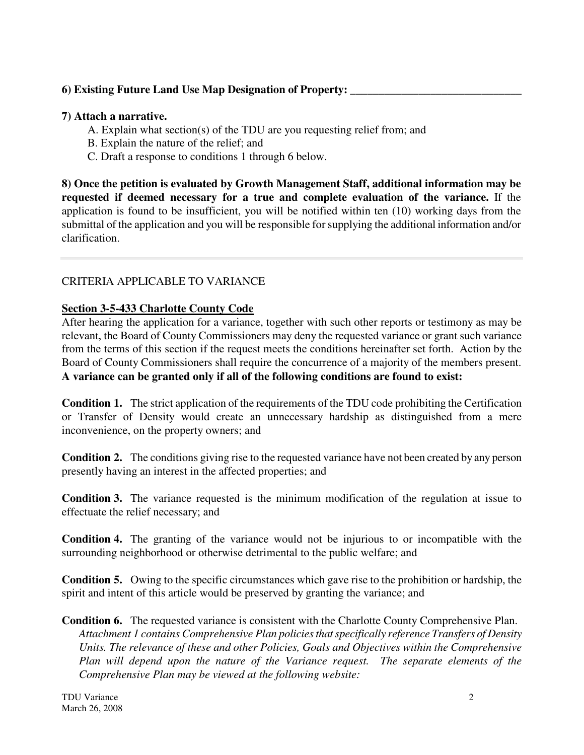#### **6) Existing Future Land Use Map Designation of Property: \_\_\_\_\_\_\_\_\_\_\_\_\_\_\_\_\_\_\_\_\_\_\_\_\_\_\_\_\_\_**

#### **7) Attach a narrative.**

- A. Explain what section(s) of the TDU are you requesting relief from; and
- B. Explain the nature of the relief; and
- C. Draft a response to conditions 1 through 6 below.

**8) Once the petition is evaluated by Growth Management Staff, additional information may be requested if deemed necessary for a true and complete evaluation of the variance.** If the application is found to be insufficient, you will be notified within ten (10) working days from the submittal of the application and you will be responsible for supplying the additional information and/or clarification.

#### CRITERIA APPLICABLE TO VARIANCE

#### **Section 3-5-433 Charlotte County Code**

After hearing the application for a variance, together with such other reports or testimony as may be relevant, the Board of County Commissioners may deny the requested variance or grant such variance from the terms of this section if the request meets the conditions hereinafter set forth. Action by the Board of County Commissioners shall require the concurrence of a majority of the members present. **A variance can be granted only if all of the following conditions are found to exist:**

**Condition 1.** The strict application of the requirements of the TDU code prohibiting the Certification or Transfer of Density would create an unnecessary hardship as distinguished from a mere inconvenience, on the property owners; and

**Condition 2.** The conditions giving rise to the requested variance have not been created by any person presently having an interest in the affected properties; and

**Condition 3.** The variance requested is the minimum modification of the regulation at issue to effectuate the relief necessary; and

**Condition 4.** The granting of the variance would not be injurious to or incompatible with the surrounding neighborhood or otherwise detrimental to the public welfare; and

**Condition 5.** Owing to the specific circumstances which gave rise to the prohibition or hardship, the spirit and intent of this article would be preserved by granting the variance; and

**Condition 6.** The requested variance is consistent with the Charlotte County Comprehensive Plan. *Attachment 1 contains Comprehensive Plan policies that specifically reference Transfers of Density Units. The relevance of these and other Policies, Goals and Objectives within the Comprehensive Plan will depend upon the nature of the Variance request. The separate elements of the Comprehensive Plan may be viewed at the following website:*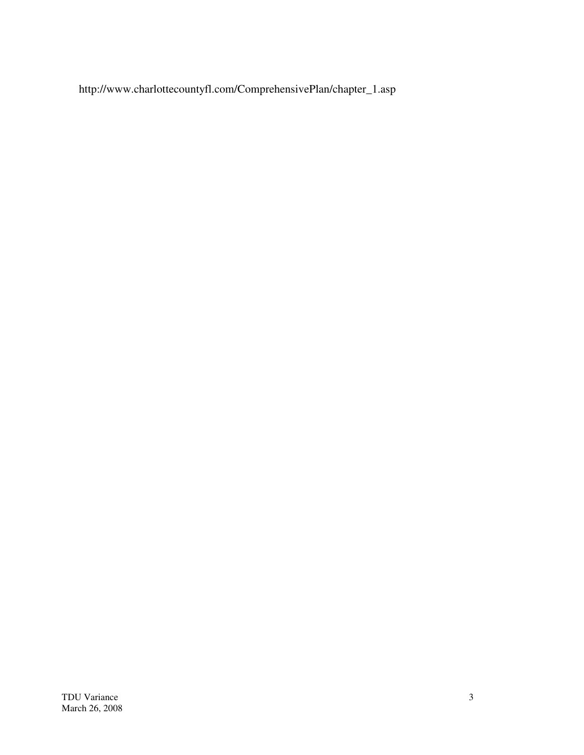http://www.charlottecountyfl.com/ComprehensivePlan/chapter\_1.asp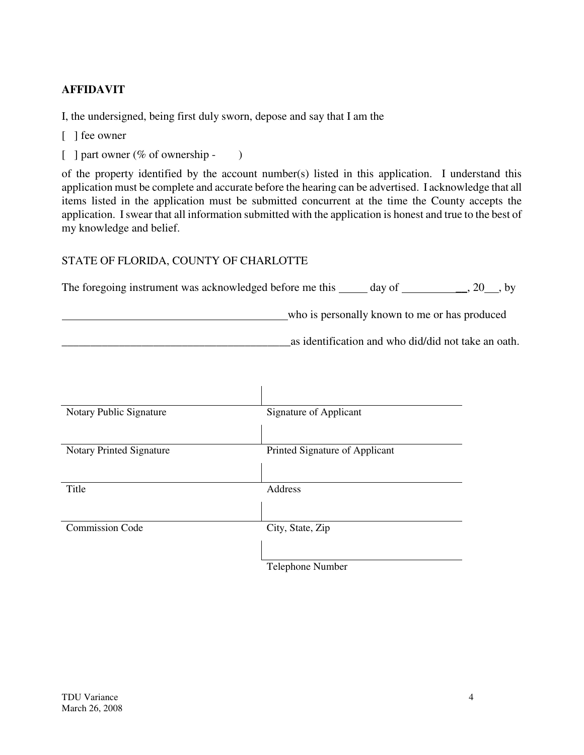# **AFFIDAVIT**

I, the undersigned, being first duly sworn, depose and say that I am the

- [ ] fee owner
- [ ] part owner (% of ownership )

of the property identified by the account number(s) listed in this application. I understand this application must be complete and accurate before the hearing can be advertised. I acknowledge that all items listed in the application must be submitted concurrent at the time the County accepts the application. I swear that all information submitted with the application is honest and true to the best of my knowledge and belief.

# STATE OF FLORIDA, COUNTY OF CHARLOTTE

| The foregoing instrument was acknowledged before me this | day of                                        | $, 20$ , by |  |
|----------------------------------------------------------|-----------------------------------------------|-------------|--|
|                                                          | who is personally known to me or has produced |             |  |

\_\_\_\_\_\_\_\_\_\_\_\_\_\_\_\_\_\_\_\_\_\_\_\_\_\_\_\_\_\_\_\_\_\_\_\_\_\_\_\_as identification and who did/did not take an oath.

| Notary Public Signature  | <b>Signature of Applicant</b>  |
|--------------------------|--------------------------------|
|                          |                                |
| Notary Printed Signature | Printed Signature of Applicant |
|                          |                                |
| Title                    | Address                        |
|                          |                                |
| <b>Commission Code</b>   | City, State, Zip               |
|                          |                                |
|                          | Telephone Number               |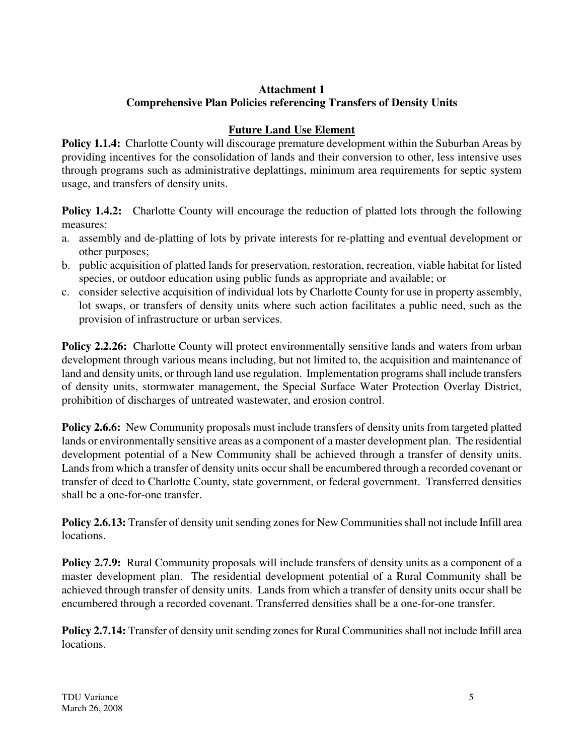# **Attachment 1 Comprehensive Plan Policies referencing Transfers of Density Units**

# **Future Land Use Element**

**Policy 1.1.4:** Charlotte County will discourage premature development within the Suburban Areas by providing incentives for the consolidation of lands and their conversion to other, less intensive uses through programs such as administrative deplattings, minimum area requirements for septic system usage, and transfers of density units.

**Policy 1.4.2:** Charlotte County will encourage the reduction of platted lots through the following measures:

- a. assembly and de-platting of lots by private interests for re-platting and eventual development or other purposes;
- b. public acquisition of platted lands for preservation, restoration, recreation, viable habitat for listed species, or outdoor education using public funds as appropriate and available; or
- c. consider selective acquisition of individual lots by Charlotte County for use in property assembly, lot swaps, or transfers of density units where such action facilitates a public need, such as the provision of infrastructure or urban services.

**Policy 2.2.26:** Charlotte County will protect environmentally sensitive lands and waters from urban development through various means including, but not limited to, the acquisition and maintenance of land and density units, or through land use regulation. Implementation programs shall include transfers of density units, stormwater management, the Special Surface Water Protection Overlay District, prohibition of discharges of untreated wastewater, and erosion control.

**Policy 2.6.6:** New Community proposals must include transfers of density units from targeted platted lands or environmentally sensitive areas as a component of a master development plan. The residential development potential of a New Community shall be achieved through a transfer of density units. Lands from which a transfer of density units occur shall be encumbered through a recorded covenant or transfer of deed to Charlotte County, state government, or federal government. Transferred densities shall be a one-for-one transfer.

**Policy 2.6.13:** Transfer of density unit sending zones for New Communities shall not include Infill area locations.

**Policy 2.7.9:** Rural Community proposals will include transfers of density units as a component of a master development plan. The residential development potential of a Rural Community shall be achieved through transfer of density units. Lands from which a transfer of density units occur shall be encumbered through a recorded covenant. Transferred densities shall be a one-for-one transfer.

**Policy 2.7.14:** Transfer of density unit sending zones for Rural Communities shall not include Infill area locations.